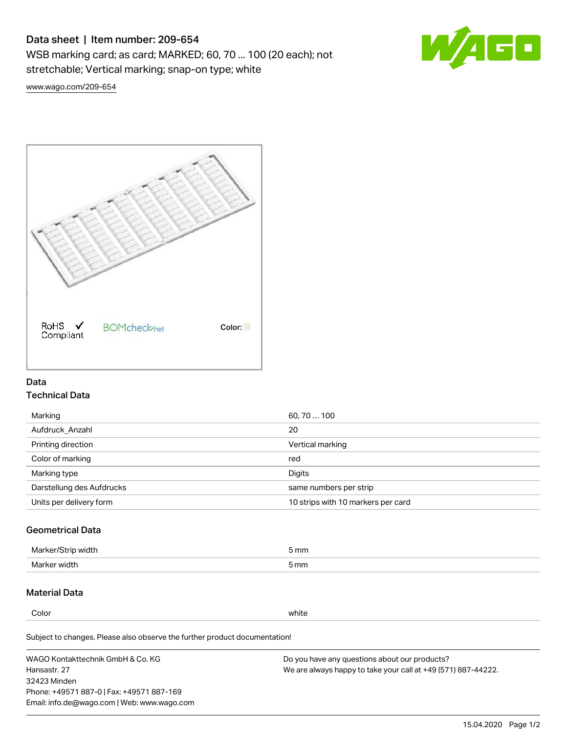# Data sheet | Item number: 209-654

WSB marking card; as card; MARKED; 60, 70 ... 100 (20 each); not stretchable; Vertical marking; snap-on type; white



[www.wago.com/209-654](http://www.wago.com/209-654)



## Data Technical Data

| 60, 70  100                        |
|------------------------------------|
| 20                                 |
| Vertical marking                   |
| red                                |
| Digits                             |
| same numbers per strip             |
| 10 strips with 10 markers per card |
|                                    |

## Geometrical Data

| طلقاء ئ<br><b>Marker</b><br>widtr | ັກmm |
|-----------------------------------|------|
| Marker width                      | 5 mm |

## Material Data

Color white

Subject to changes. Please also observe the further product documentation!

WAGO Kontakttechnik GmbH & Co. KG Hansastr. 27 32423 Minden Phone: +49571 887-0 | Fax: +49571 887-169 Email: info.de@wago.com | Web: www.wago.com Do you have any questions about our products? We are always happy to take your call at +49 (571) 887-44222.